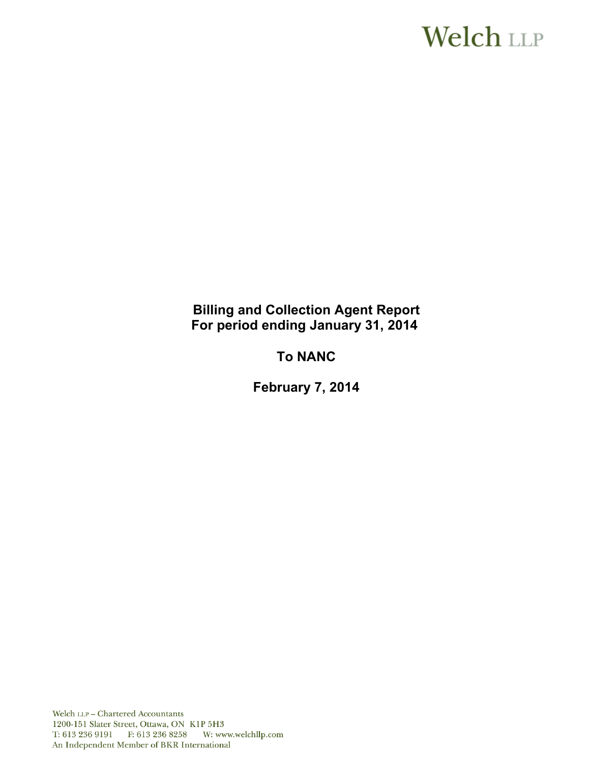# **Welch LLP**

# **Billing and Collection Agent Report For period ending January 31, 2014**

# **To NANC**

**February 7, 2014**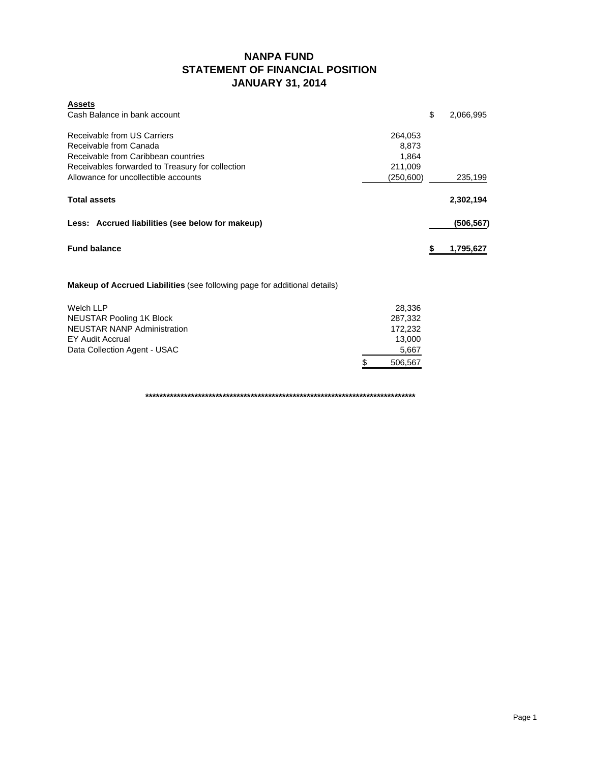### **NANPA FUND STATEMENT OF FINANCIAL POSITION JANUARY 31, 2014**

| <b>Assets</b>                                    |           |           |
|--------------------------------------------------|-----------|-----------|
| Cash Balance in bank account                     | \$        | 2,066,995 |
| Receivable from US Carriers                      | 264.053   |           |
| Receivable from Canada                           | 8.873     |           |
| Receivable from Caribbean countries              | 1.864     |           |
| Receivables forwarded to Treasury for collection | 211,009   |           |
| Allowance for uncollectible accounts             | (250,600) | 235,199   |
| <b>Total assets</b>                              |           | 2,302,194 |
| Less: Accrued liabilities (see below for makeup) |           | (506,567) |
| <b>Fund balance</b>                              |           | 1,795,627 |

**Makeup of Accrued Liabilities** (see following page for additional details)

| Welch LLP                          | 28.336       |
|------------------------------------|--------------|
| NEUSTAR Pooling 1K Block           | 287.332      |
| <b>NEUSTAR NANP Administration</b> | 172.232      |
| EY Audit Accrual                   | 13.000       |
| Data Collection Agent - USAC       | 5,667        |
|                                    | S<br>506.567 |

**\*\*\*\*\*\*\*\*\*\*\*\*\*\*\*\*\*\*\*\*\*\*\*\*\*\*\*\*\*\*\*\*\*\*\*\*\*\*\*\*\*\*\*\*\*\*\*\*\*\*\*\*\*\*\*\*\*\*\*\*\*\*\*\*\*\*\*\*\*\*\*\*\*\*\*\*\***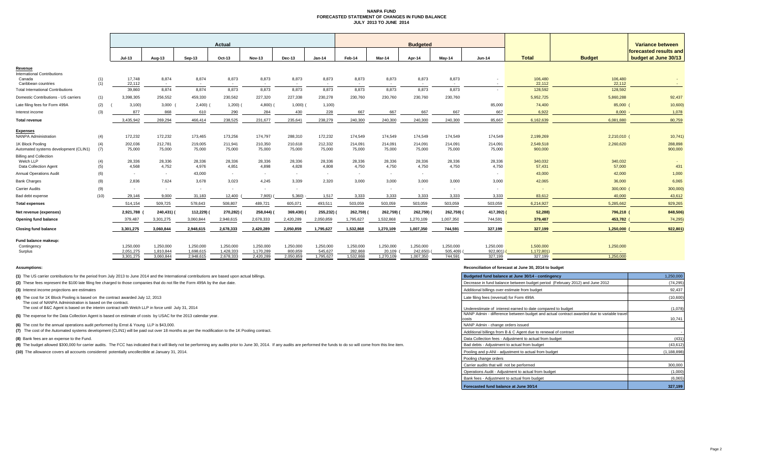#### **NANPA FUND FORECASTED STATEMENT OF CHANGES IN FUND BALANCE JULY 2013 TO JUNE 2014**

|                                                                     |            |                        |                        |                        | Actual                 |                        |                      |                      |                      |                     | <b>Budgeted</b>       |                     |                          |                      |                   | Variance between                               |
|---------------------------------------------------------------------|------------|------------------------|------------------------|------------------------|------------------------|------------------------|----------------------|----------------------|----------------------|---------------------|-----------------------|---------------------|--------------------------|----------------------|-------------------|------------------------------------------------|
|                                                                     |            | $Jul-13$               | Aug-13                 | Sep-13                 | Oct-13                 | <b>Nov-13</b>          | Dec-13               | $Jan-14$             | Feb-14               | Mar-14              | Apr-14                | May-14              | <b>Jun-14</b>            | <b>Total</b>         | <b>Budget</b>     | forecasted results and<br>budget at June 30/13 |
| Revenue                                                             |            |                        |                        |                        |                        |                        |                      |                      |                      |                     |                       |                     |                          |                      |                   |                                                |
| <b>International Contributions</b><br>Canada<br>Caribbean countries | (1)<br>(1) | 17,748<br>22,112       | 8,874<br>$\sim$        | 8,874<br>$\sim$        | 8,873<br>$\sim$        | 8,873<br>$\sim$        | 8,873<br>$\sim$      | 8,873<br>$\sim$      | 8,873<br>$\sim$      | 8,873<br>$\sim$     | 8,873                 | 8,873<br>$\sim$     | $\overline{\phantom{a}}$ | 106,480<br>22,112    | 106,480<br>22,112 |                                                |
| <b>Total International Contributions</b>                            |            | 39,860                 | 8,874                  | 8,874                  | 8,873                  | 8,873                  | 8.873                | 8,873                | 8,873                | 8,873               | 8,873                 | 8,873               |                          | 128,592              | 128,592           |                                                |
| Domestic Contributions - US carriers                                | (1)        | 3.398.305              | 256,552                | 459,330                | 230,562                | 227,320                | 227,338              | 230,278              | 230,760              | 230,760             | 230,760               | 230,760             |                          | 5,952,725            | 5,860,288         | 92,437                                         |
| Late filing fees for Form 499A                                      | (2)        | 3,100                  | 3,000                  | 2,400)                 | 1,200)                 | $4,800$ )              | 1,000                | 1,100                |                      |                     |                       |                     | 85,000                   | 74,400               | 85,000            | 10,600                                         |
| Interest income                                                     | (3)        | 877                    | 868                    | 610                    | 290                    | 284                    | 430                  | 228                  | 667                  | 667                 | 667                   | 667                 | 667                      | 6,922                | $8,000 -$         | 1,078                                          |
| <b>Total revenue</b>                                                |            | 3.435.942              | 269,294                | 466.414                | 238,525                | 231.677                | 235.641              | 238,279              | 240,300              | 240,300             | 240,300               | 240,300             | 85.667                   | 6,162,639            | 6.081.880         | 80,759                                         |
| <b>Expenses</b><br><b>NANPA Administration</b>                      | (4)        | 172,232                | 172,232                | 173,465                | 173,256                | 174,797                | 288,310              | 172,232              | 174,549              | 174,549             | 174,549               | 174,549             | 174,549                  | 2,199,269            | 2,210,010 (       | 10,741)                                        |
| 1K Block Pooling<br>Automated systems development (CLIN1)           | (4)<br>(7) | 202,036<br>75,000      | 212,781<br>75,000      | 219,005<br>75,000      | 211,941<br>75,000      | 210,350<br>75,000      | 210,618<br>75,000    | 212,332<br>75,000    | 214,091<br>75,000    | 214,091<br>75,000   | 214,091<br>75,000     | 214,091<br>75,000   | 214,091<br>75,000        | 2,549,518<br>900,000 | 2,260,620         | 288,898<br>900,000                             |
| <b>Billing and Collection</b><br>Welch LLP<br>Data Collection Agent | (4)<br>(5) | 28,336<br>4.568        | 28,336<br>4,752        | 28,336<br>4.976        | 28,336<br>4,851        | 28,336<br>4,898        | 28,336<br>4.828      | 28,336<br>4,808      | 28,336<br>4,750      | 28,336<br>4,750     | 28,336<br>4,750       | 28,336<br>4.750     | 28,336<br>4,750          | 340,032<br>57,431    | 340,032<br>57,000 | 431                                            |
| <b>Annual Operations Audit</b>                                      | (6)        | $\sim$                 | $\sim$                 | 43,000                 | $\sim$                 | $\sim$                 | $\sim$               | $\sim$               | $\sim$               | $\sim$              | $\sim$                |                     |                          | 43,000               | 42,000            | 1,000                                          |
| <b>Bank Charges</b>                                                 | (8)        | 2,836                  | 7,624                  | 3,678                  | 3,023                  | 4,245                  | 3,339                | 2,320                | 3,000                | 3,000               | 3,000                 | 3,000               | 3,000                    | 42,065               | 36,000            | 6,065                                          |
| Carrier Audits                                                      | (9)        | $\sim$                 | $\sim$                 | $\sim$                 | $\sim$                 |                        | $\sim$               |                      |                      |                     | $\sim$                | $\sim$              |                          |                      | $300,000$ (       | 300,000                                        |
| Bad debt expense                                                    | (10)       | 29.146                 | 9,000                  | 31,183                 | 12,400                 | 7,905)                 | 5,360)               | 1,517                | 3,333                | 3,333               | 3,333                 | 3.333               | 3,333                    | 83,612               | 40,000            | 43,612                                         |
| <b>Total expenses</b>                                               |            | 514.154                | 509,725                | 578,643                | 508,807                | 489,721                | 605,071              | 493,511              | 503,059              | 503,059             | 503,059               | 503,059             | 503,059                  | 6,214,927            | 5,285,662         | 929,265                                        |
| Net revenue (expenses)                                              |            | 2,921,788              | 240,431)               | 112,229)               | 270,282)               | 258,044) (             | 369,430)             | 255,232) (           | 262,759)             | 262,759)            | 262,759)              | 262,759)            | 417,392) (               | 52,288)              | 796,218 (         | 848,506                                        |
| Opening fund balance                                                |            | 379,487                | 3,301,275              | 3,060,844              | 2,948,615              | 2,678,333              | 2,420,289            | 2,050,859            | 1,795,627            | 1,532,868           | 1,270,109             | 1,007,350           | 744,591                  | 379,487              | 453,782           | 74,295                                         |
| <b>Closing fund balance</b>                                         |            | 3,301,275              | 3,060,844              | 2,948,615              | 2,678,333              | 2,420,289              | 2,050,859            | 1,795,627            | 1,532,868            | 1,270,109           | 1,007,350             | 744,591             | 327,199                  | 327,199              | 1,250,000         | 922,801                                        |
| Fund balance makeup:<br>Contingency                                 |            | 1,250,000              | 1,250,000              | 1,250,000              | 1,250,000              | 1,250,000              | 1,250,000            | 1,250,000            | 1,250,000            | 1,250,000           | 1,250,000             | 1,250,000           | 1,250,000                | 1,500,000            | 1,250,000         |                                                |
| Surplus                                                             |            | 2,051,275<br>3,301,275 | 1,810,844<br>3,060,844 | 1,698,615<br>2,948,615 | 1,428,333<br>2,678,333 | 1,170,289<br>2,420,289 | 800.859<br>2,050,859 | 545,627<br>1,795,627 | 282,868<br>1,532,868 | 20,109<br>1,270,109 | 242,650)<br>1,007,350 | 505,409)<br>744,591 | 922,801<br>327,199       | 1,172,801<br>327,199 | 1,250,000         |                                                |
|                                                                     |            |                        |                        |                        |                        |                        |                      |                      |                      |                     |                       |                     |                          |                      |                   |                                                |

**(1)** The US carrier contributions for the period from July 2013 to June 2014 and the International contributions are based upon actual billings.

(2) These fees represent the \$100 late filing fee charged to those companies that do not file the Form 499A by the due date.

**(3)** Interest income projections are estimates

**(4)** The cost for 1K Block Pooling is based on the contract awarded July 12, 2013

The cost of NANPA Administration is based on the contract. The cost of B&C Agent is based on the interim contract with Welch LLP in force until July 31, 2014

**(5)** The expense for the Data Collection Agent is based on estimate of costs by USAC for the 2013 calendar year.

**(6)** The cost for the annual operations audit performed by Ernst & Young LLP is \$43,000.

**(7)** The cost of the Automated systems development (CLIN1) will be paid out over 18 months as per the modification to the 1K Pooling contract.

**(8)** Bank fees are an expense to the Fund.

(9) The budget allowed \$300,000 for carrier audits. The FCC has indicated that it will likely not be performing any audits prior to June 30, 2014. If any audits are performed the funds to do so will come from this line ite

**(10)** The allowance covers all accounts considered potentially uncollectible at January 31, 2014.

#### **Assumptions: Reconciliation of forecast at June 30, 2014 to budget**

| Budgeted fund balance at June 30/14 - contingency                                                  | 1,250,000     |
|----------------------------------------------------------------------------------------------------|---------------|
| Decrease in fund balance between budget period (February 2012) and June 2012                       | (74, 295)     |
| Additional billings over estimate from budget                                                      | 92,437        |
| Late filing fees (reversal) for Form 499A                                                          | (10,600)      |
| Underestimate of interest earned to date compared to budget                                        | (1,078)       |
| NANP Admin - difference between budget and actual contract awarded due to variable travel<br>costs | 10.741        |
| NANP Admin - change orders issued                                                                  |               |
| Additional billings from B & C Agent due to renewal of contract                                    |               |
| Data Collection fees - Adjustment to actual from budget                                            | (431)         |
| Bad debts - Adjustment to actual from budget                                                       | (43, 612)     |
| Pooling and p-ANI - adjustment to actual from budget                                               | (1, 188, 898) |
| Pooling change orders                                                                              |               |
| Carrier audits that will not be performed                                                          | 300,000       |
| Operations Audit - Adjustment to actual from budget                                                | (1,000)       |
| Bank fees - Adjustment to actual from budget                                                       | (6,065)       |
| Forecasted fund balance at June 30/14                                                              | 327,199       |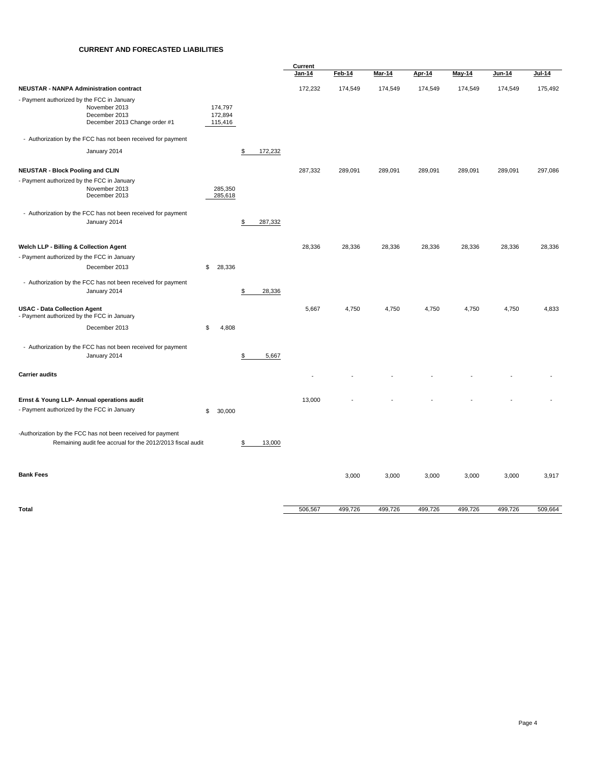#### **CURRENT AND FORECASTED LIABILITIES**

|                                                                                          |                                                                                                                           |                               |               | Current |         |               |         |         |         |         |
|------------------------------------------------------------------------------------------|---------------------------------------------------------------------------------------------------------------------------|-------------------------------|---------------|---------|---------|---------------|---------|---------|---------|---------|
|                                                                                          |                                                                                                                           |                               |               | Jan-14  | Feb-14  | <b>Mar-14</b> | Apr-14  | May-14  | Jun-14  | Jul-14  |
| <b>NEUSTAR - NANPA Administration contract</b>                                           |                                                                                                                           |                               |               | 172,232 | 174,549 | 174,549       | 174,549 | 174,549 | 174,549 | 175,492 |
| - Payment authorized by the FCC in January                                               | November 2013<br>December 2013<br>December 2013 Change order #1                                                           | 174,797<br>172,894<br>115,416 |               |         |         |               |         |         |         |         |
|                                                                                          | - Authorization by the FCC has not been received for payment                                                              |                               |               |         |         |               |         |         |         |         |
|                                                                                          | January 2014                                                                                                              |                               | \$<br>172,232 |         |         |               |         |         |         |         |
| <b>NEUSTAR - Block Pooling and CLIN</b>                                                  |                                                                                                                           |                               |               | 287,332 | 289,091 | 289,091       | 289,091 | 289,091 | 289,091 | 297,086 |
| - Payment authorized by the FCC in January                                               | November 2013<br>December 2013                                                                                            | 285,350<br>285,618            |               |         |         |               |         |         |         |         |
|                                                                                          | - Authorization by the FCC has not been received for payment<br>January 2014                                              |                               | 287,332<br>\$ |         |         |               |         |         |         |         |
| Welch LLP - Billing & Collection Agent                                                   |                                                                                                                           |                               |               | 28,336  | 28,336  | 28,336        | 28,336  | 28,336  | 28,336  | 28,336  |
| - Payment authorized by the FCC in January                                               |                                                                                                                           |                               |               |         |         |               |         |         |         |         |
|                                                                                          | December 2013                                                                                                             | \$<br>28,336                  |               |         |         |               |         |         |         |         |
|                                                                                          | - Authorization by the FCC has not been received for payment<br>January 2014                                              |                               | 28,336<br>\$  |         |         |               |         |         |         |         |
| <b>USAC - Data Collection Agent</b><br>- Payment authorized by the FCC in January        |                                                                                                                           |                               |               | 5,667   | 4,750   | 4,750         | 4,750   | 4,750   | 4,750   | 4,833   |
|                                                                                          | December 2013                                                                                                             | \$<br>4,808                   |               |         |         |               |         |         |         |         |
|                                                                                          | - Authorization by the FCC has not been received for payment<br>January 2014                                              |                               | \$<br>5,667   |         |         |               |         |         |         |         |
| <b>Carrier audits</b>                                                                    |                                                                                                                           |                               |               |         |         |               |         |         |         |         |
| Ernst & Young LLP- Annual operations audit<br>- Payment authorized by the FCC in January |                                                                                                                           | \$<br>30,000                  |               | 13,000  |         |               |         |         |         |         |
|                                                                                          | -Authorization by the FCC has not been received for payment<br>Remaining audit fee accrual for the 2012/2013 fiscal audit |                               | 13,000<br>\$  |         |         |               |         |         |         |         |
| <b>Bank Fees</b>                                                                         |                                                                                                                           |                               |               |         | 3,000   | 3,000         | 3,000   | 3,000   | 3,000   | 3,917   |
| <b>Total</b>                                                                             |                                                                                                                           |                               |               | 506,567 | 499,726 | 499,726       | 499,726 | 499,726 | 499,726 | 509,664 |